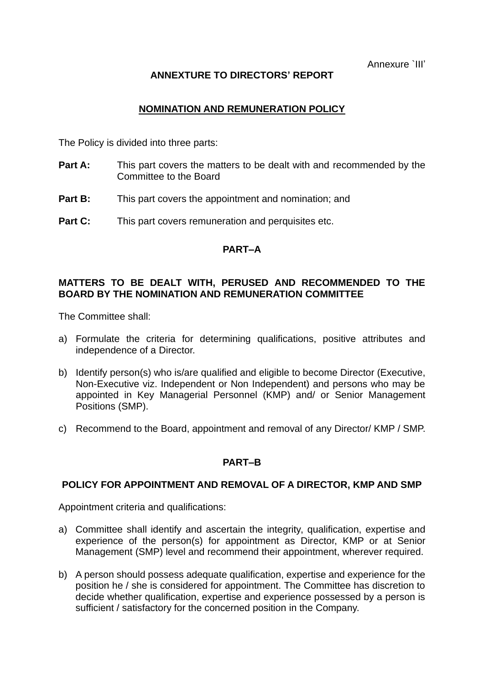Annexure `III'

# **ANNEXTURE TO DIRECTORS' REPORT**

# **NOMINATION AND REMUNERATION POLICY**

The Policy is divided into three parts:

- **Part A:** This part covers the matters to be dealt with and recommended by the Committee to the Board
- **Part B:** This part covers the appointment and nomination; and
- **Part C:** This part covers remuneration and perquisites etc.

# **PART–A**

# **MATTERS TO BE DEALT WITH, PERUSED AND RECOMMENDED TO THE BOARD BY THE NOMINATION AND REMUNERATION COMMITTEE**

The Committee shall:

- a) Formulate the criteria for determining qualifications, positive attributes and independence of a Director.
- b) Identify person(s) who is/are qualified and eligible to become Director (Executive, Non-Executive viz. Independent or Non Independent) and persons who may be appointed in Key Managerial Personnel (KMP) and/ or Senior Management Positions (SMP).
- c) Recommend to the Board, appointment and removal of any Director/ KMP / SMP.

# **PART–B**

# **POLICY FOR APPOINTMENT AND REMOVAL OF A DIRECTOR, KMP AND SMP**

Appointment criteria and qualifications:

- a) Committee shall identify and ascertain the integrity, qualification, expertise and experience of the person(s) for appointment as Director, KMP or at Senior Management (SMP) level and recommend their appointment, wherever required.
- b) A person should possess adequate qualification, expertise and experience for the position he / she is considered for appointment. The Committee has discretion to decide whether qualification, expertise and experience possessed by a person is sufficient / satisfactory for the concerned position in the Company.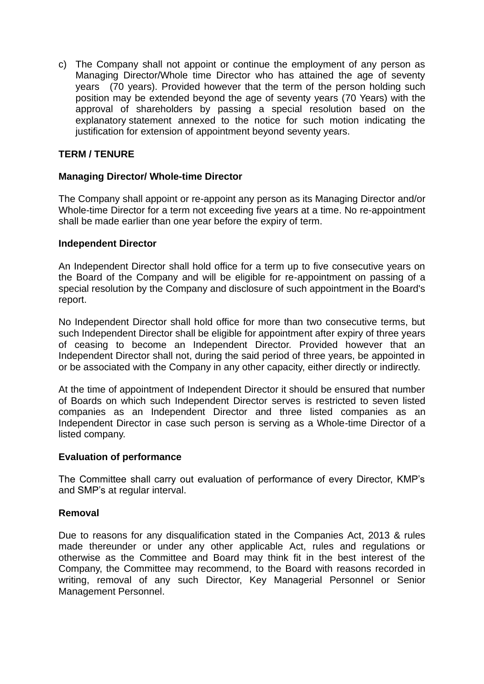c) The Company shall not appoint or continue the employment of any person as Managing Director/Whole time Director who has attained the age of seventy years (70 years). Provided however that the term of the person holding such position may be extended beyond the age of seventy years (70 Years) with the approval of shareholders by passing a special resolution based on the explanatory statement annexed to the notice for such motion indicating the justification for extension of appointment beyond seventy years.

# **TERM / TENURE**

# **Managing Director/ Whole-time Director**

The Company shall appoint or re-appoint any person as its Managing Director and/or Whole-time Director for a term not exceeding five years at a time. No re-appointment shall be made earlier than one year before the expiry of term.

# **Independent Director**

An Independent Director shall hold office for a term up to five consecutive years on the Board of the Company and will be eligible for re-appointment on passing of a special resolution by the Company and disclosure of such appointment in the Board's report.

No Independent Director shall hold office for more than two consecutive terms, but such Independent Director shall be eligible for appointment after expiry of three years of ceasing to become an Independent Director. Provided however that an Independent Director shall not, during the said period of three years, be appointed in or be associated with the Company in any other capacity, either directly or indirectly.

At the time of appointment of Independent Director it should be ensured that number of Boards on which such Independent Director serves is restricted to seven listed companies as an Independent Director and three listed companies as an Independent Director in case such person is serving as a Whole-time Director of a listed company.

# **Evaluation of performance**

The Committee shall carry out evaluation of performance of every Director, KMP's and SMP's at regular interval.

# **Removal**

Due to reasons for any disqualification stated in the Companies Act, 2013 & rules made thereunder or under any other applicable Act, rules and regulations or otherwise as the Committee and Board may think fit in the best interest of the Company, the Committee may recommend, to the Board with reasons recorded in writing, removal of any such Director, Key Managerial Personnel or Senior Management Personnel.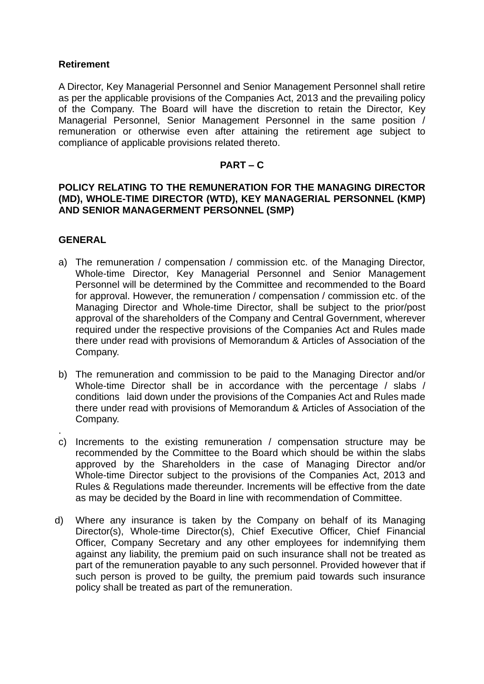# **Retirement**

A Director, Key Managerial Personnel and Senior Management Personnel shall retire as per the applicable provisions of the Companies Act, 2013 and the prevailing policy of the Company. The Board will have the discretion to retain the Director, Key Managerial Personnel, Senior Management Personnel in the same position / remuneration or otherwise even after attaining the retirement age subject to compliance of applicable provisions related thereto.

# **PART – C**

#### **POLICY RELATING TO THE REMUNERATION FOR THE MANAGING DIRECTOR (MD), WHOLE-TIME DIRECTOR (WTD), KEY MANAGERIAL PERSONNEL (KMP) AND SENIOR MANAGERMENT PERSONNEL (SMP)**

# **GENERAL**

- a) The remuneration / compensation / commission etc. of the Managing Director, Whole-time Director, Key Managerial Personnel and Senior Management Personnel will be determined by the Committee and recommended to the Board for approval. However, the remuneration / compensation / commission etc. of the Managing Director and Whole-time Director, shall be subject to the prior/post approval of the shareholders of the Company and Central Government, wherever required under the respective provisions of the Companies Act and Rules made there under read with provisions of Memorandum & Articles of Association of the Company.
- b) The remuneration and commission to be paid to the Managing Director and/or Whole-time Director shall be in accordance with the percentage / slabs / conditions laid down under the provisions of the Companies Act and Rules made there under read with provisions of Memorandum & Articles of Association of the Company.
- . c) Increments to the existing remuneration / compensation structure may be recommended by the Committee to the Board which should be within the slabs approved by the Shareholders in the case of Managing Director and/or Whole-time Director subject to the provisions of the Companies Act, 2013 and Rules & Regulations made thereunder. Increments will be effective from the date as may be decided by the Board in line with recommendation of Committee.
- d) Where any insurance is taken by the Company on behalf of its Managing Director(s), Whole-time Director(s), Chief Executive Officer, Chief Financial Officer, Company Secretary and any other employees for indemnifying them against any liability, the premium paid on such insurance shall not be treated as part of the remuneration payable to any such personnel. Provided however that if such person is proved to be guilty, the premium paid towards such insurance policy shall be treated as part of the remuneration.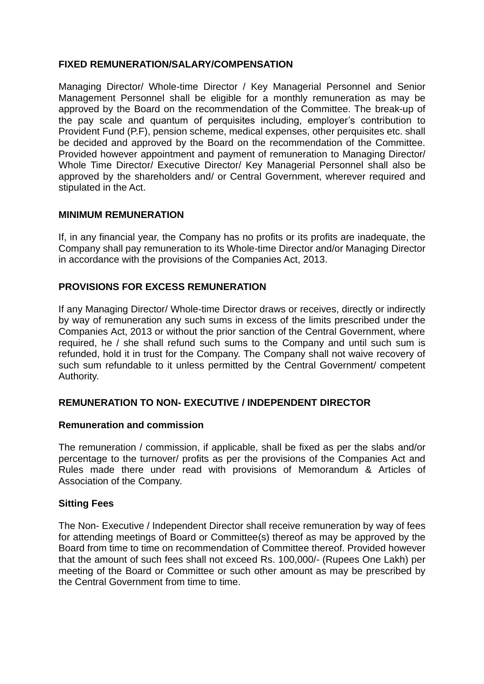# **FIXED REMUNERATION/SALARY/COMPENSATION**

Managing Director/ Whole-time Director / Key Managerial Personnel and Senior Management Personnel shall be eligible for a monthly remuneration as may be approved by the Board on the recommendation of the Committee. The break-up of the pay scale and quantum of perquisites including, employer's contribution to Provident Fund (P.F), pension scheme, medical expenses, other perquisites etc. shall be decided and approved by the Board on the recommendation of the Committee. Provided however appointment and payment of remuneration to Managing Director/ Whole Time Director/ Executive Director/ Key Managerial Personnel shall also be approved by the shareholders and/ or Central Government, wherever required and stipulated in the Act.

# **MINIMUM REMUNERATION**

If, in any financial year, the Company has no profits or its profits are inadequate, the Company shall pay remuneration to its Whole-time Director and/or Managing Director in accordance with the provisions of the Companies Act, 2013.

# **PROVISIONS FOR EXCESS REMUNERATION**

If any Managing Director/ Whole-time Director draws or receives, directly or indirectly by way of remuneration any such sums in excess of the limits prescribed under the Companies Act, 2013 or without the prior sanction of the Central Government, where required, he / she shall refund such sums to the Company and until such sum is refunded, hold it in trust for the Company. The Company shall not waive recovery of such sum refundable to it unless permitted by the Central Government/ competent Authority.

# **REMUNERATION TO NON- EXECUTIVE / INDEPENDENT DIRECTOR**

# **Remuneration and commission**

The remuneration / commission, if applicable, shall be fixed as per the slabs and/or percentage to the turnover/ profits as per the provisions of the Companies Act and Rules made there under read with provisions of Memorandum & Articles of Association of the Company.

# **Sitting Fees**

The Non- Executive / Independent Director shall receive remuneration by way of fees for attending meetings of Board or Committee(s) thereof as may be approved by the Board from time to time on recommendation of Committee thereof. Provided however that the amount of such fees shall not exceed Rs. 100,000/- (Rupees One Lakh) per meeting of the Board or Committee or such other amount as may be prescribed by the Central Government from time to time.